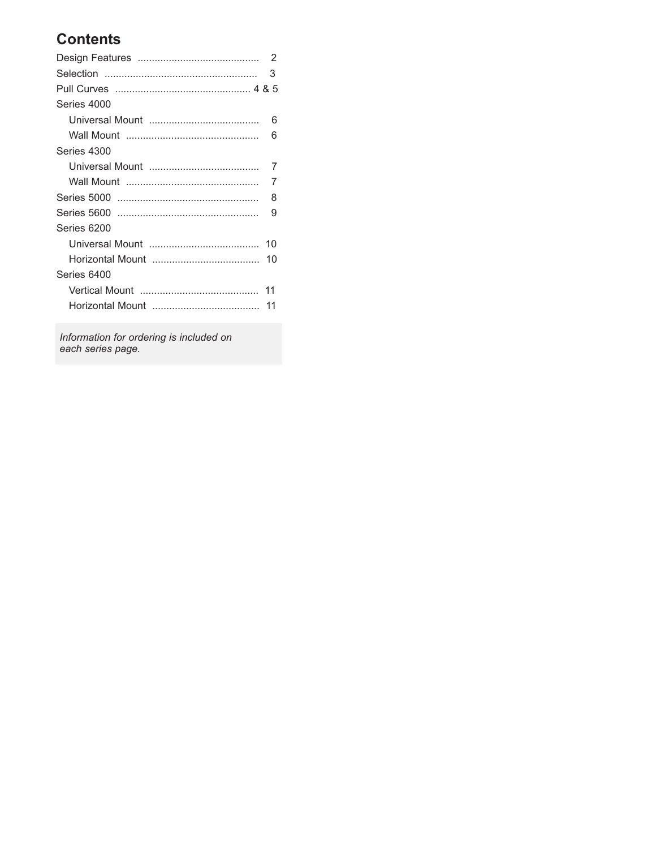# **Contents**

|             | 2  |
|-------------|----|
|             | 3  |
|             |    |
| Series 4000 |    |
|             | 6  |
|             | 6  |
| Series 4300 |    |
|             | 7  |
|             | 7  |
|             | 8  |
|             | 9  |
| Series 6200 |    |
|             | 10 |
|             |    |
| Series 6400 |    |
|             |    |
|             | 11 |

*Information for ordering is included on each series page.*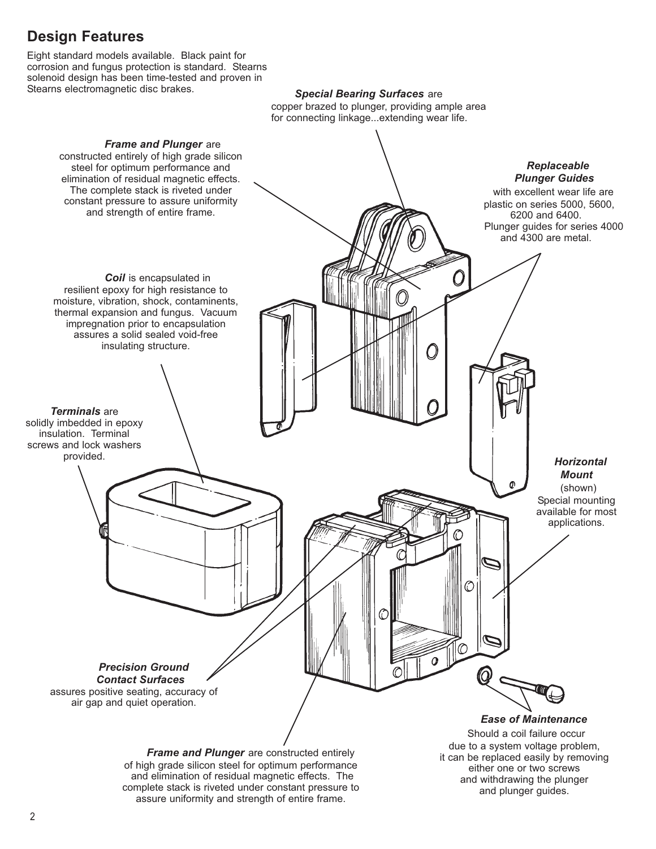# **Design Features**

Eight standard models available. Black paint for corrosion and fungus protection is standard. Stearns solenoid design has been time-tested and proven in<br>Stearns electromagnetic disc brakes.

Special Bearing Surfaces are

copper brazed to plunger, providing ample area for connecting linkage...extending wear life.



and plunger guides.

assure uniformity and strength of entire frame.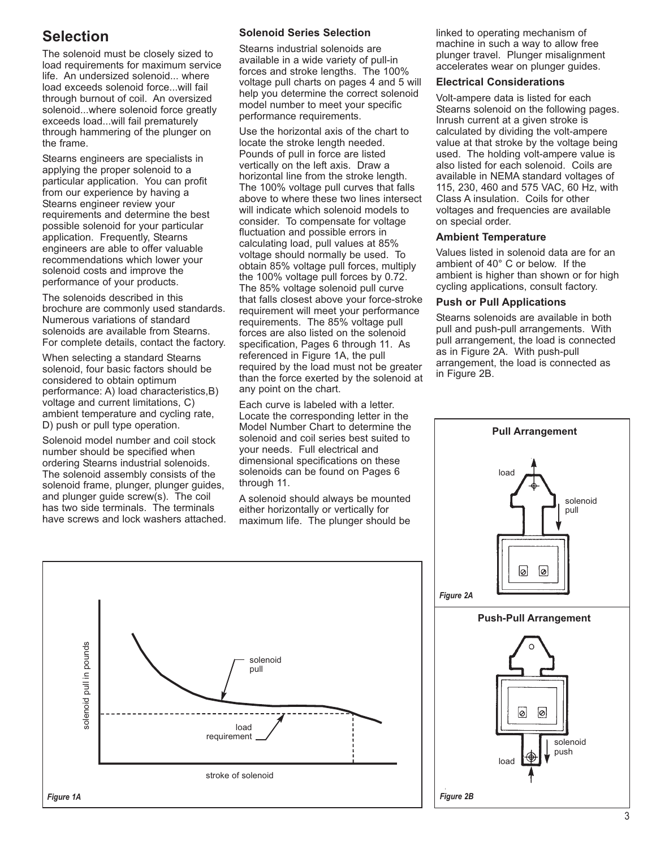# **Selection**

The solenoid must be closely sized to load requirements for maximum service life. An undersized solenoid... where load exceeds solenoid force...will fail through burnout of coil. An oversized solenoid...where solenoid force greatly exceeds load...will fail prematurely through hammering of the plunger on the frame.

Stearns engineers are specialists in applying the proper solenoid to a particular application. You can profit from our experience by having a Stearns engineer review your requirements and determine the best possible solenoid for your particular application. Frequently, Stearns engineers are able to offer valuable recommendations which lower your solenoid costs and improve the performance of your products.

The solenoids described in this brochure are commonly used standards. Numerous variations of standard solenoids are available from Stearns. For complete details, contact the factory.

When selecting a standard Stearns solenoid, four basic factors should be considered to obtain optimum performance: A) load characteristics,B) voltage and current limitations, C) ambient temperature and cycling rate, D) push or pull type operation.

Solenoid model number and coil stock number should be specified when ordering Stearns industrial solenoids. The solenoid assembly consists of the solenoid frame, plunger, plunger guides, and plunger guide screw(s). The coil has two side terminals. The terminals have screws and lock washers attached.

#### **Solenoid Series Selection**

Stearns industrial solenoids are available in a wide variety of pull-in forces and stroke lengths. The 100% voltage pull charts on pages 4 and 5 will help you determine the correct solenoid model number to meet your specific performance requirements.

Use the horizontal axis of the chart to locate the stroke length needed. Pounds of pull in force are listed vertically on the left axis. Draw a horizontal line from the stroke length. The 100% voltage pull curves that falls above to where these two lines intersect will indicate which solenoid models to consider. To compensate for voltage fluctuation and possible errors in calculating load, pull values at 85% voltage should normally be used. To obtain 85% voltage pull forces, multiply the 100% voltage pull forces by 0.72. The 85% voltage solenoid pull curve that falls closest above your force-stroke requirement will meet your performance requirements. The 85% voltage pull forces are also listed on the solenoid specification, Pages 6 through 11. As referenced in Figure 1A, the pull required by the load must not be greater than the force exerted by the solenoid at any point on the chart.

Each curve is labeled with a letter. Locate the corresponding letter in the Model Number Chart to determine the solenoid and coil series best suited to your needs. Full electrical and dimensional specifications on these solenoids can be found on Pages 6 through 11.

A solenoid should always be mounted either horizontally or vertically for maximum life. The plunger should be

linked to operating mechanism of machine in such a way to allow free plunger travel. Plunger misalignment accelerates wear on plunger guides.

#### **Electrical Considerations**

Volt-ampere data is listed for each Stearns solenoid on the following pages. Inrush current at a given stroke is calculated by dividing the volt-ampere value at that stroke by the voltage being used. The holding volt-ampere value is also listed for each solenoid. Coils are available in NEMA standard voltages of 115, 230, 460 and 575 VAC, 60 Hz, with Class A insulation. Coils for other voltages and frequencies are available on special order.

#### **Ambient Temperature**

Values listed in solenoid data are for an ambient of 40° C or below. If the ambient is higher than shown or for high cycling applications, consult factory.

#### **Push or Pull Applications**

Stearns solenoids are available in both pull and push-pull arrangements. With pull arrangement, the load is connected as in Figure 2A. With push-pull arrangement, the load is connected as in Figure 2B.



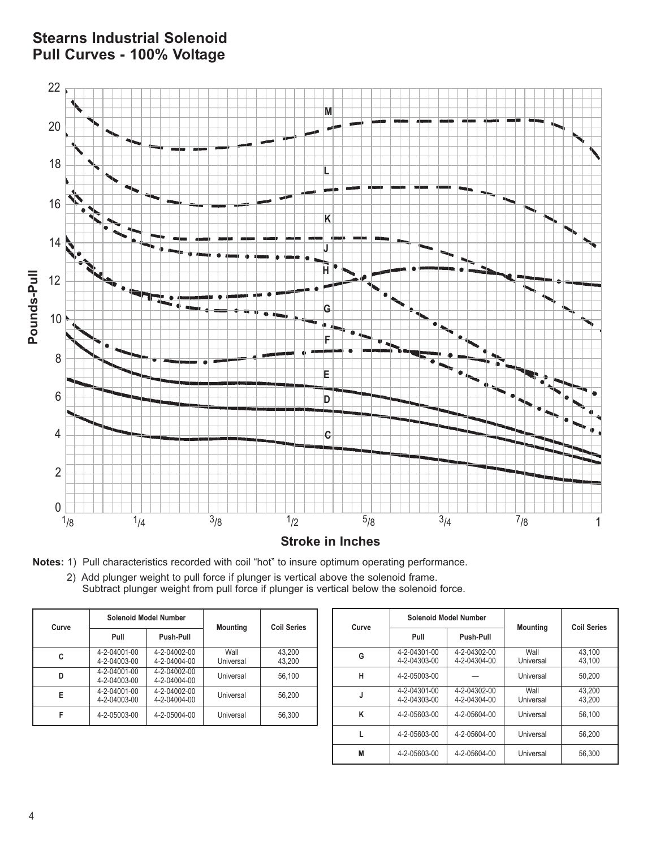# **Stearns Industrial Solenoid Pull Curves - 100% Voltage**



**Notes:** 1) Pull characteristics recorded with coil "hot" to insure optimum operating performance.

2) Add plunger weight to pull force if plunger is vertical above the solenoid frame. Subtract plunger weight from pull force if plunger is vertical below the solenoid force.

| Curve |                              | <b>Solenoid Model Number</b> | <b>Mounting</b>   | <b>Coil Series</b> |  |
|-------|------------------------------|------------------------------|-------------------|--------------------|--|
|       | Pull                         | Push-Pull                    |                   |                    |  |
| c     | 4-2-04001-00<br>4-2-04003-00 | 4-2-04002-00<br>4-2-04004-00 | Wall<br>Universal | 43,200<br>43,200   |  |
| D     | 4-2-04001-00<br>4-2-04003-00 | 4-2-04002-00<br>4-2-04004-00 | Universal         | 56,100             |  |
| E     | 4-2-04001-00<br>4-2-04003-00 | 4-2-04002-00<br>4-2-04004-00 | Universal         | 56,200             |  |
| F     | 4-2-05003-00                 | 4-2-05004-00                 | Universal         | 56,300             |  |

| Curve |                              | <b>Solenoid Model Number</b> |                   | <b>Coil Series</b> |  |
|-------|------------------------------|------------------------------|-------------------|--------------------|--|
|       | Pull                         | Push-Pull                    | <b>Mounting</b>   |                    |  |
| G     | 4-2-04301-00<br>4-2-04303-00 | 4-2-04302-00<br>4-2-04304-00 | Wall<br>Universal | 43.100<br>43.100   |  |
| н     | 4-2-05003-00                 |                              | Universal         | 50.200             |  |
| J     | 4-2-04301-00<br>4-2-04303-00 | 4-2-04302-00<br>4-2-04304-00 | Wall<br>Universal | 43.200<br>43.200   |  |
| ĸ     | 4-2-05603-00                 | 4-2-05604-00                 | Universal         | 56.100             |  |
|       | 4-2-05603-00                 | 4-2-05604-00                 | Universal         | 56.200             |  |
| M     | 4-2-05603-00                 | 4-2-05604-00                 | Universal         | 56.300             |  |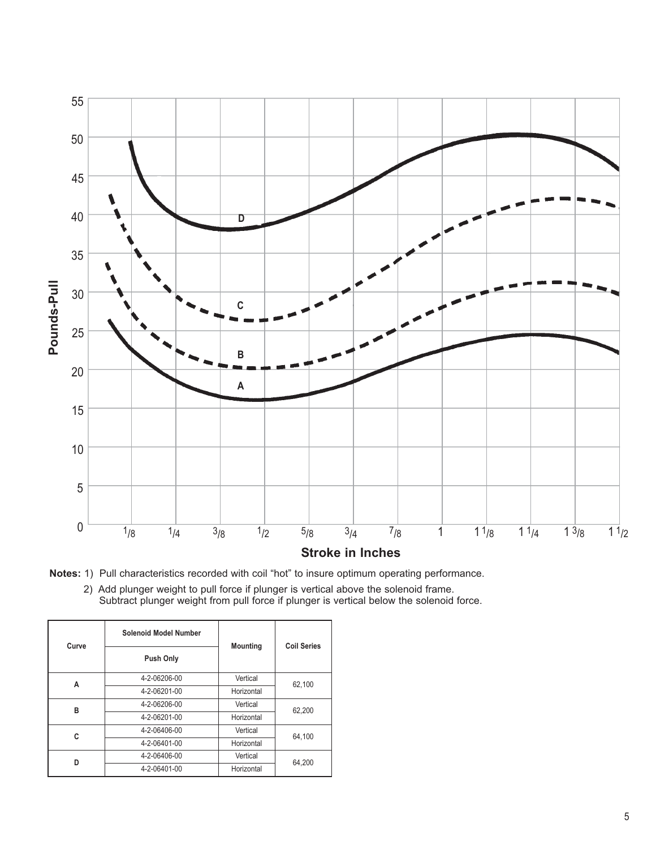



2) Add plunger weight to pull force if plunger is vertical above the solenoid frame. Subtract plunger weight from pull force if plunger is vertical below the solenoid force.

| Curve | Solenoid Model Number | <b>Mounting</b> | <b>Coil Series</b> |  |  |
|-------|-----------------------|-----------------|--------------------|--|--|
|       | <b>Push Only</b>      |                 |                    |  |  |
| Α     | 4-2-06206-00          | Vertical        | 62,100             |  |  |
|       | 4-2-06201-00          | Horizontal      |                    |  |  |
| в     | 4-2-06206-00          | Vertical        | 62,200             |  |  |
|       | 4-2-06201-00          | Horizontal      |                    |  |  |
| C     | 4-2-06406-00          | Vertical        | 64.100             |  |  |
|       | 4-2-06401-00          | Horizontal      |                    |  |  |
| n     | 4-2-06406-00          | Vertical        | 64,200             |  |  |
|       | 4-2-06401-00          | Horizontal      |                    |  |  |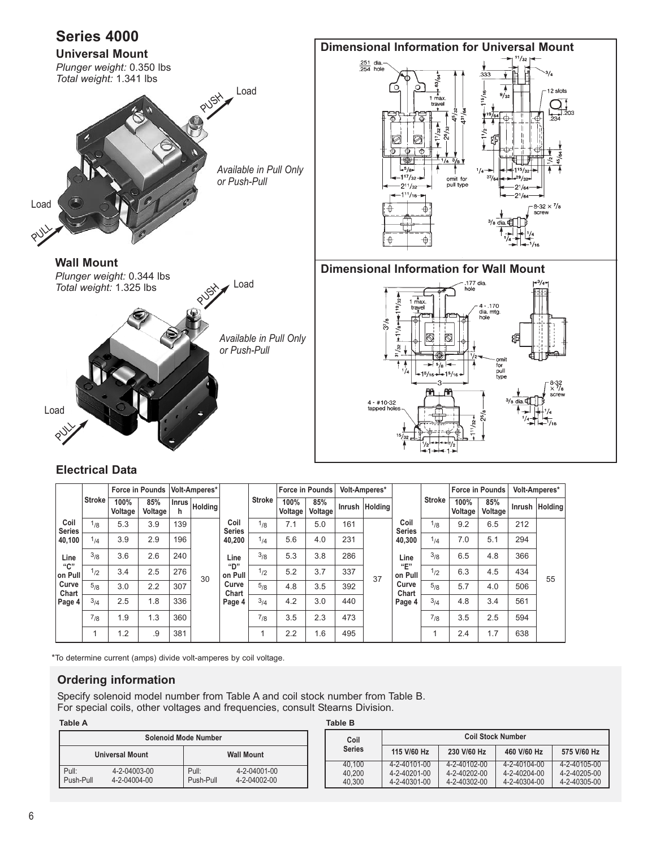

#### **Electrical Data**

|                       |               |                 | <b>Force in Pounds</b> |            | Volt-Amperes*  |                       |               |                 |                |     |                |                       | <b>Force in Pounds</b> |                 | Volt-Amperes*  |     |                |  | <b>Force in Pounds</b> |  | Volt-Amperes* |
|-----------------------|---------------|-----------------|------------------------|------------|----------------|-----------------------|---------------|-----------------|----------------|-----|----------------|-----------------------|------------------------|-----------------|----------------|-----|----------------|--|------------------------|--|---------------|
|                       | <b>Stroke</b> | 100%<br>Voltage | 85%<br>Voltage         | Inrus<br>h | <b>Holding</b> |                       | <b>Stroke</b> | 100%<br>Voltage | 85%<br>Voltage |     | Inrush Holding |                       | <b>Stroke</b>          | 100%<br>Voltage | 85%<br>Voltage |     | Inrush Holding |  |                        |  |               |
| Coil<br><b>Series</b> | 1/8           | 5.3             | 3.9                    | 139        |                | Coil<br><b>Series</b> | $1_{/8}$      | 7.1             | 5.0            | 161 |                | Coil<br><b>Series</b> | 1/8                    | 9.2             | 6.5            | 212 |                |  |                        |  |               |
| 40,100                | 4/            | 3.9             | 2.9                    | 196        |                | 40,200                | 1/4           | 5.6             | 4.0            | 231 |                | 40,300                | 1/4                    | 7.0             | 5.1            | 294 |                |  |                        |  |               |
| Line                  | 3/8           | 3.6             | 2.6                    | 240        |                | Line                  | 3/8           | 5.3             | 3.8            | 286 |                | Line                  | 3/8                    | 6.5             | 4.8            | 366 |                |  |                        |  |               |
| "C"<br>on Pull        | 1/2           | 3.4             | 2.5                    | 276        | 30             | "D"<br>on Pull        | 1/2           | 5.2             | 3.7            | 337 | 37             | "E"<br>on Pull        | $1_{12}$               | 6.3             | 4.5            | 434 | 55             |  |                        |  |               |
| Curve<br>Chart        | 5/8           | 3.0             | 2.2                    | 307        |                | Curve<br>Chart        | 5/8           | 4.8             | 3.5            | 392 |                | Curve<br>Chart        | 5/8                    | 5.7             | 4.0            | 506 |                |  |                        |  |               |
| Page 4                | 3/4           | 2.5             | 1.8                    | 336        |                | Page 4                | 3/4           | 4.2             | 3.0            | 440 |                | Page 4                | 3/4                    | 4.8             | 3.4            | 561 |                |  |                        |  |               |
|                       | $7_{/8}$      | 1.9             | 1.3                    | 360        |                |                       | 7/8           | 3.5             | 2.3            | 473 |                |                       | $7_{/8}$               | 3.5             | 2.5            | 594 |                |  |                        |  |               |
|                       |               | 1.2             | .9                     | 381        |                |                       |               | 2.2             | 1.6            | 495 |                |                       |                        | 2.4             | 1.7            | 638 |                |  |                        |  |               |

\*To determine current (amps) divide volt-amperes by coil voltage.

#### **Ordering information**

Specify solenoid model number from Table A and coil stock number from Table B. For special coils, other voltages and frequencies, consult Stearns Division.

**Table A Table B**

| <b>Solenoid Mode Number</b>                 |                              |                    |                              |  |  |  |  |  |
|---------------------------------------------|------------------------------|--------------------|------------------------------|--|--|--|--|--|
| <b>Universal Mount</b><br><b>Wall Mount</b> |                              |                    |                              |  |  |  |  |  |
| Pull:<br>Push-Pull                          | 4-2-04003-00<br>4-2-04004-00 | Pull:<br>Push-Pull | 4-2-04001-00<br>4-2-04002-00 |  |  |  |  |  |

| iavic D       |              |                          |              |              |
|---------------|--------------|--------------------------|--------------|--------------|
| Coil          |              | <b>Coil Stock Number</b> |              |              |
| <b>Series</b> | 115 V/60 Hz  | 230 V/60 Hz              | 460 V/60 Hz  | 575 V/60 Hz  |
| 40.100        | 4-2-40101-00 | 4-2-40102-00             | 4-2-40104-00 | 4-2-40105-00 |
| 40.200        | 4-2-40201-00 | 4-2-40202-00             | 4-2-40204-00 | 4-2-40205-00 |
| 40.300        | 4-2-40301-00 | 4-2-40302-00             | 4-2-40304-00 | 4-2-40305-00 |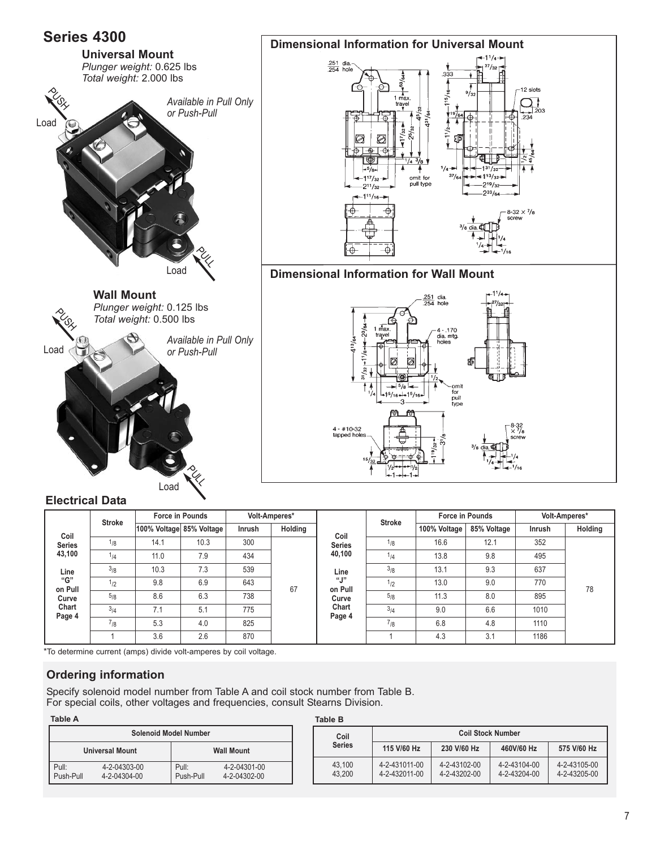

| <b>JEIIES</b>                     |                                                               |                 |       | .    |      | <b>JELIES</b>  |               |      |     | $\sim$ $\sim$ |
|-----------------------------------|---------------------------------------------------------------|-----------------|-------|------|------|----------------|---------------|------|-----|---------------|
| 43,100                            | 7.9<br>434<br>11.0<br>1/4                                     | 40,100          | 1/4   | 13.8 | 9.8  | 495            |               |      |     |               |
| 3/8<br>539<br>7.3<br>10.3<br>Line | Line                                                          |                 |       | 3/8  | 13.1 | 9.3            | 637           |      |     |               |
| "G"<br>on Pull                    | $\frac{1}{2}$                                                 | 9.8             | 6.9   | 643  | 67   | "J"<br>on Pull | $\frac{1}{2}$ | 13.0 | 9.0 | 770           |
| Curve                             | 5/8<br>6.3<br>738<br>8.6<br>Chart<br>3/4<br>5.1<br>775<br>7.1 |                 | Curve | 5/8  | 11.3 | 8.0            | 895           |      |     |               |
| Page 4                            |                                                               | Chart<br>Page 4 | 3/4   | 9.0  | 6.6  | 1010           |               |      |     |               |
|                                   | (1/8)                                                         | 5.3             | 4.0   | 825  |      |                | (1/8)         | 6.8  | 4.8 | 1110          |
|                                   |                                                               | 3.6             | 2.6   | 870  |      |                |               | 4.3  | 3.1 | 1186          |
|                                   |                                                               |                 |       |      |      |                |               |      |     |               |

\*To determine current (amps) divide volt-amperes by coil voltage.

#### **Ordering information**

Specify solenoid model number from Table A and coil stock number from Table B. For special coils, other voltages and frequencies, consult Stearns Division.

| Table A            |                              |                              |                              | <b>Table B</b> |
|--------------------|------------------------------|------------------------------|------------------------------|----------------|
|                    |                              | <b>Solenoid Model Number</b> |                              | Сc             |
|                    | <b>Universal Mount</b>       |                              | <b>Wall Mount</b>            | Ser            |
| Pull:<br>Push-Pull | 4-2-04303-00<br>4-2-04304-00 | Pull:<br>Push-Pull           | 4-2-04301-00<br>4-2-04302-00 | 43.7<br>43.2   |

| iavie D          |                                |                              |                              |                              |
|------------------|--------------------------------|------------------------------|------------------------------|------------------------------|
| Coil             |                                | <b>Coil Stock Number</b>     |                              |                              |
| <b>Series</b>    | 115 V/60 Hz                    | 230 V/60 Hz                  | 460V/60 Hz                   | 575 V/60 Hz                  |
| 43.100<br>43.200 | 4-2-431011-00<br>4-2-432011-00 | 4-2-43102-00<br>4-2-43202-00 | 4-2-43104-00<br>4-2-43204-00 | 4-2-43105-00<br>4-2-43205-00 |

78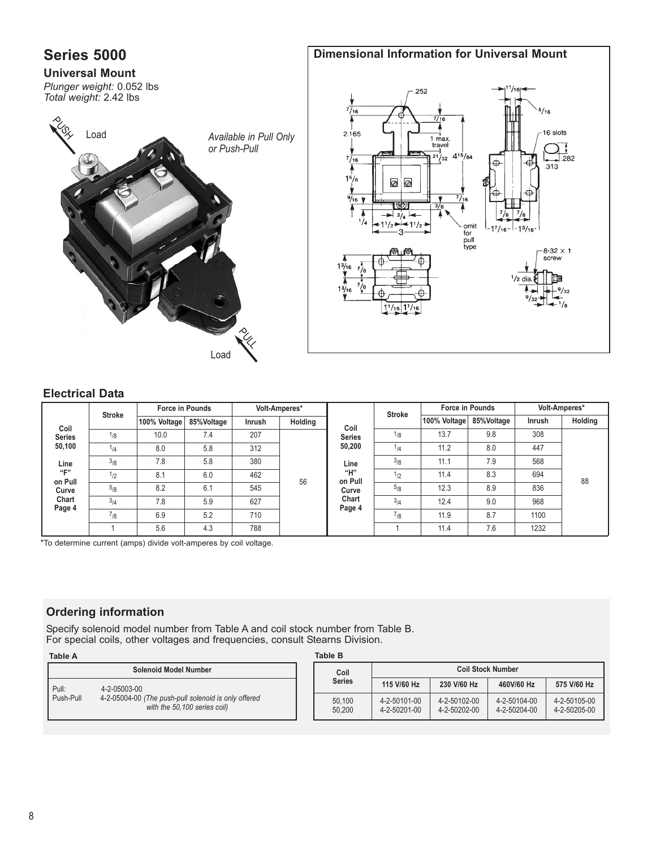

#### **Electrical Data**

|                       | <b>Stroke</b> |              | <b>Force in Pounds</b> | Volt-Amperes* |         |                 | <b>Stroke</b>   | <b>Force in Pounds</b> |                        | Volt-Amperes* |                |     |     |  |  |  |  |  |  |     |      |     |
|-----------------------|---------------|--------------|------------------------|---------------|---------|-----------------|-----------------|------------------------|------------------------|---------------|----------------|-----|-----|--|--|--|--|--|--|-----|------|-----|
|                       |               | 100% Voltage | 85%Voltage             | Inrush        | Holding | Coil            |                 | 100% Voltage           | 85%Voltage             | Inrush        | <b>Holding</b> |     |     |  |  |  |  |  |  |     |      |     |
| Coil<br><b>Series</b> | 1/8           | 10.0         | 7.4                    | 207           |         | <b>Series</b>   | <sup>1</sup> /8 | 13.7                   | 9.8                    | 308           |                |     |     |  |  |  |  |  |  |     |      |     |
| 50,100                | $1_{/4}$      | 8.0          | 5.8                    | 312           |         | 50,200          | 1/4             | 11.2                   | 8.0                    | 447           |                |     |     |  |  |  |  |  |  |     |      |     |
| Line                  | 3/8           | 7.8          | 5.8                    | 380           | 56      |                 | 462<br>545      |                        | Line<br>"Н"<br>on Pull | 3/8           | 11.1           | 7.9 | 568 |  |  |  |  |  |  |     |      |     |
| ``E"<br>on Pull       | $1_{12}$      | 8.1          | 6.0                    |               |         |                 |                 |                        |                        |               |                |     |     |  |  |  |  |  |  | 1/2 | 11.4 | 8.3 |
| Curve                 | 5/8           | 8.2          | 6.1                    |               |         |                 |                 | Curve                  | 5/8                    | 12.3          | 8.9            | 836 |     |  |  |  |  |  |  |     |      |     |
| Chart<br>Page 4       | 3/4           | 7.8          | 5.9                    | 627           |         | Chart<br>Page 4 | 3/4             | 12.4                   | 9.0                    | 968           |                |     |     |  |  |  |  |  |  |     |      |     |
|                       | $7_{/8}$      | 6.9          | 5.2                    | 710           |         |                 | $7_{/8}$        | 11.9                   | 8.7                    | 1100          |                |     |     |  |  |  |  |  |  |     |      |     |
|                       |               | 5.6          | 4.3                    | 788           |         |                 |                 | 11.4                   | 7.6                    | 1232          |                |     |     |  |  |  |  |  |  |     |      |     |

\*To determine current (amps) divide volt-amperes by coil voltage.

### **Ordering information**

Specify solenoid model number from Table A and coil stock number from Table B. For special coils, other voltages and frequencies, consult Stearns Division.

| <b>Table A</b> |                                                                                      | Table B          |                              |                              |                              |                              |  |  |  |  |
|----------------|--------------------------------------------------------------------------------------|------------------|------------------------------|------------------------------|------------------------------|------------------------------|--|--|--|--|
|                | Solenoid Model Number                                                                | Coil             | <b>Coil Stock Number</b>     |                              |                              |                              |  |  |  |  |
| Pull:          | 4-2-05003-00                                                                         | <b>Series</b>    | 115 V/60 Hz                  | 230 V/60 Hz                  | 460V/60 Hz                   | 575 V/60 Hz                  |  |  |  |  |
| Push-Pull      | 4-2-05004-00 (The push-pull solenoid is only offered<br>with the 50.100 series coil) | 50.100<br>50.200 | 4-2-50101-00<br>4-2-50201-00 | 4-2-50102-00<br>4-2-50202-00 | 4-2-50104-00<br>4-2-50204-00 | 4-2-50105-00<br>4-2-50205-00 |  |  |  |  |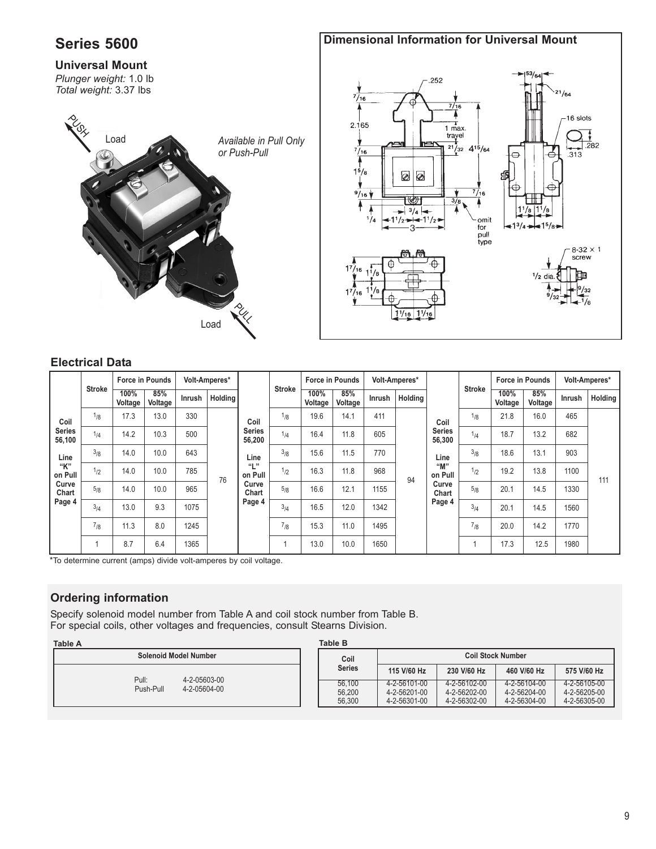# **Series 5600 Universal Mount** *Plunger weight:* 1.0 lb *Total weight:* 3.37 lbs **Dimensional Information for Universal Mount** *Available in Pull Only or Push-Pull* Load **PULL PUSH** Load



#### **Electrical Data**

|                         | <b>Stroke</b> |                 |                |               | <b>Force in Pounds</b><br>Volt-Amperes* |                                                                                       |     |                 | <b>Stroke</b>  | <b>Force in Pounds</b> |         | Volt-Amperes*                   |     |                 | <b>Stroke</b>  | <b>Force in Pounds</b> |         | Volt-Amperes* |  |
|-------------------------|---------------|-----------------|----------------|---------------|-----------------------------------------|---------------------------------------------------------------------------------------|-----|-----------------|----------------|------------------------|---------|---------------------------------|-----|-----------------|----------------|------------------------|---------|---------------|--|
|                         |               | 100%<br>Voltage | 85%<br>Voltage | <b>Inrush</b> | Holdina                                 |                                                                                       |     | 100%<br>Voltage | 85%<br>Voltage | <b>Inrush</b>          | Holding |                                 |     | 100%<br>Voltage | 85%<br>Voltage | Inrush                 | Holding |               |  |
| Coil                    | $1_{/8}$      | 17.3            | 13.0           | 330           |                                         | Coil<br><b>Series</b><br>56,200<br>Line<br>"L"<br>on Pull<br>Curve<br>Chart<br>Page 4 | 1/8 | 19.6            | 14.1           | 411                    |         | Coil                            | 1/8 | 21.8            | 16.0           | 465                    |         |               |  |
| <b>Series</b><br>56,100 | 1/4           | 14.2            | 10.3           | 500           |                                         |                                                                                       | 1/4 | 16.4            | 11.8           | 605                    |         | <b>Series</b><br>56,300<br>Line | 1/4 | 18.7            | 13.2           | 682                    |         |               |  |
| Line                    | 3/8           | 14.0            | 10.0           | 643           |                                         |                                                                                       | 3/8 | 15.6            | 11.5           | 770                    |         |                                 | 3/8 | 18.6            | 13.1           | 903                    |         |               |  |
| "K"<br>on Pull          | 1/2           | 14.0            | 10.0           | 785           | 76                                      |                                                                                       | 1/2 | 16.3            | 11.8           | 968                    | 94      | "M"<br>on Pull                  | 1/2 | 19.2            | 13.8           | 1100                   | 111     |               |  |
| Curve<br>Chart          | 5/8           | 14.0            | 10.0           | 965           |                                         |                                                                                       | 5/8 | 16.6            | 12.1           | 1155                   |         | Curve<br>Chart                  | 5/8 | 20.1            | 14.5           | 1330                   |         |               |  |
| Page 4                  | 3/4           | 13.0            | 9.3            | 1075          |                                         |                                                                                       | 3/4 | 16.5            | 12.0           | 1342                   |         | Page 4                          | 3/4 | 20.1            | 14.5           | 1560                   |         |               |  |
|                         | 7/8           | 11.3            | 8.0            | 1245          |                                         |                                                                                       | 7/8 | 15.3            | 11.0           | 1495                   |         |                                 | 7/8 | 20.0            | 14.2           | 1770                   |         |               |  |
|                         |               | 8.7             | 6.4            | 1365          |                                         |                                                                                       |     | 13.0            | 10.0           | 1650                   |         |                                 |     | 17.3            | 12.5           | 1980                   |         |               |  |

\*To determine current (amps) divide volt-amperes by coil voltage.

### **Ordering information**

Specify solenoid model number from Table A and coil stock number from Table B. For special coils, other voltages and frequencies, consult Stearns Division.

| <b>Table A</b>               |  | <b>Table B</b> |                          |              |              |              |  |  |
|------------------------------|--|----------------|--------------------------|--------------|--------------|--------------|--|--|
| <b>Solenoid Model Number</b> |  | Coil           | <b>Coil Stock Number</b> |              |              |              |  |  |
|                              |  | <b>Series</b>  | 115 V/60 Hz              | 230 V/60 Hz  | 460 V/60 Hz  | 575 V/60 Hz  |  |  |
| Pull:<br>4-2-05603-00        |  | 56.100         | 4-2-56101-00             | 4-2-56102-00 | 4-2-56104-00 | 4-2-56105-00 |  |  |
| Push-Pull<br>4-2-05604-00    |  | 56.200         | 4-2-56201-00             | 4-2-56202-00 | 4-2-56204-00 | 4-2-56205-00 |  |  |
|                              |  | 56.300         | 4-2-56301-00             | 4-2-56302-00 | 4-2-56304-00 | 4-2-56305-00 |  |  |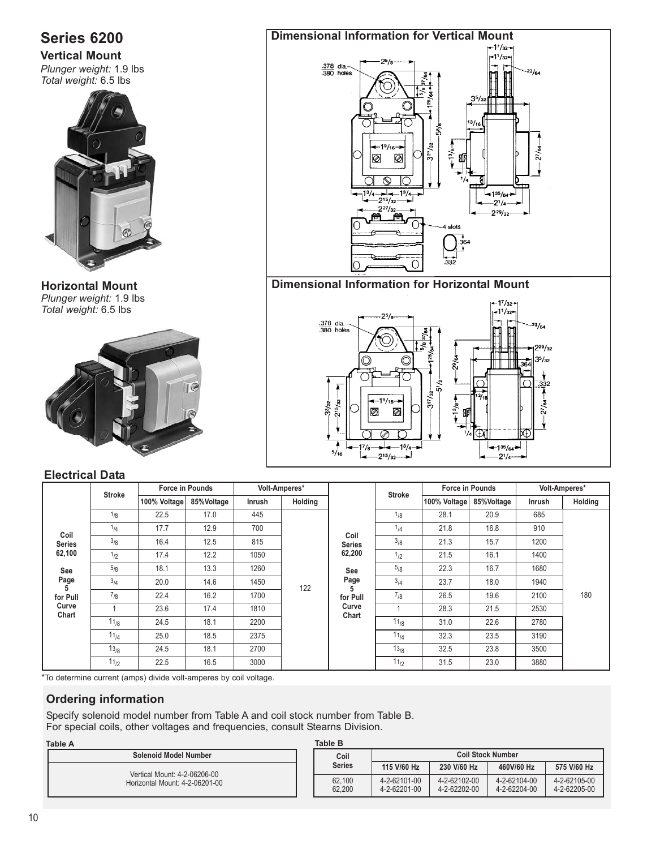# **Series 6200**

**Vertical Mount** *Plunger weight:* 1.9 lbs *Total weight:* 6.5 lbs



**Horizontal Mount** *Plunger weight:* 1.9 lbs *Total weight:* 6.5 lbs

**Electrical Data** 



#### **Dimensional Information for Vertical Mount**  $11/32$  $\frac{.378}{.380}$  dia.- $23/64$  $3<sup>5</sup>$ / 55/8  $\frac{19}{16}$ e చి န့် Æ ಸ ⊘ Ø ನ  $-1^{3}/4$  $+135/6$  $215/2$  $-21/a$  $2^{27}/_{32}$  $2^{29/32}$ 伶 尙  $\cap$ **Dimensional Information for Horizontal Mount** $17/32$  $-1^{1}/32$  $\frac{.378}{.380}$  dia. $^{23}/_{64}$



#### **Stroke 100% Voltage 85%Voltage Force in Pounds Inrush Holding Volt-Amperes\***  $1/4$  $1/8$ 17.7 22.5 12.9 17.0 700 445  $1/2$  $3/8$ 17.4 16.4 12.2 12.5 1050 815  $3/4$ 5/8 20.0 18.1 14.6 13.3 1450 1260  $11_{/2}$  $13/8$  $11_{/4}$  $11_{/8}$ 1 7/8 22.5 24.5 25.0 24.5 23.6 22.4 16.5 18.1 18.5 18.1 17.4 16.2 3000 2700 2375 2200 1810 1700 122 **Coil Series 62,100 See Page 5 for Pull Curve Chart Force in Pounds 100% Voltage**  $11_{/2}$  $13/8$  $11_{/4}$  $11_{/8}$ 1 3880 3500 3190 2780 2530 1940 1400 910 23.0 23.8 23.5 22.6 21.5 31.5 32.5  $\overline{323}$ 31.0 28.3 18.0 **Coil Series 62,200 See Page 5 for Pull Curve Chart Inrush Holding** 7<sub>/8</sub> | 26.5 | 19.6 | 2100 | 180  $3/4$  23.7 5<sub>/8</sub> | 22.3 | 16.7 | 1680  $\frac{1}{2}$  | 21.5 | 16.1 <sup>3</sup>/8 | 21.3 | 15.7 | 1200  $1/4$ 1<sub>/8</sub> | 28.1 | 20.9 | 685 16.8 **Volt-Amperes\*** 21.8 **85%Voltage Stroke**

\*To determine current (amps) divide volt-amperes by coil voltage.

#### **Ordering information**

Specify solenoid model number from Table A and coil stock number from Table B. For special coils, other voltages and frequencies, consult Stearns Division.

#### **Table A Table B Solenoid Model Number** Vertical Mount: 4-2-06206-00 Horizontal Mount: 4-2-06201-00 4-2-62205-00 4-2-62104-00 4-2-62204-00 4-2-62102-00 4-2-62202-00 4-2-62101-00 4-2-62201-00 62,100 62,200 **460V/60 Hz Coil Stock Number 230 V/60 Hz 575 V/60 Hz Coil Series 115 V/60 Hz**

#### 10